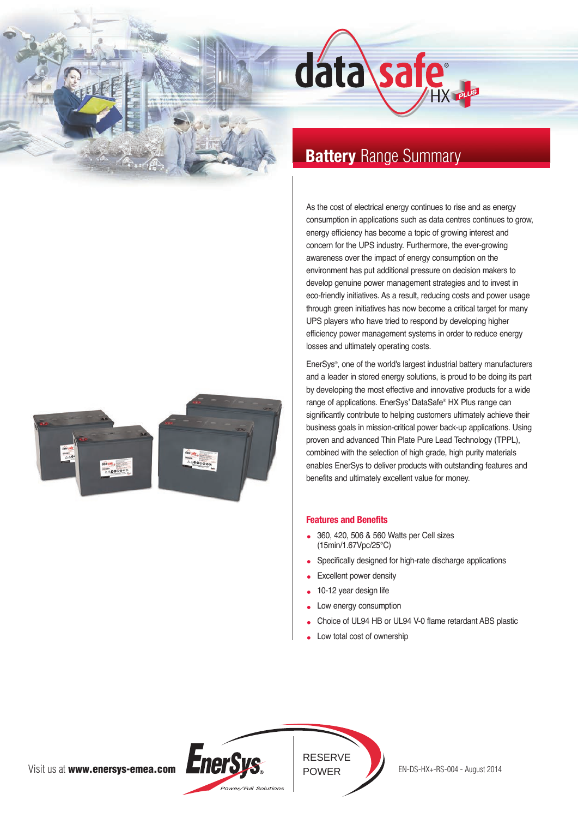



# **Battery** Range Summary

As the cost of electrical energy continues to rise and as energy consumption in applications such as data centres continues to grow, energy efficiency has become a topic of growing interest and concern for the UPS industry. Furthermore, the ever-growing awareness over the impact of energy consumption on the environment has put additional pressure on decision makers to develop genuine power management strategies and to invest in eco-friendly initiatives. As a result, reducing costs and power usage through green initiatives has now become a critical target for many UPS players who have tried to respond by developing higher efficiency power management systems in order to reduce energy losses and ultimately operating costs.

EnerSys®, one of the world's largest industrial battery manufacturers and a leader in stored energy solutions, is proud to be doing its part by developing the most effective and innovative products for a wide range of applications. EnerSys' DataSafe® HX Plus range can significantly contribute to helping customers ultimately achieve their business goals in mission-critical power back-up applications. Using proven and advanced Thin Plate Pure Lead Technology (TPPL), combined with the selection of high grade, high purity materials enables EnerSys to deliver products with outstanding features and benefits and ultimately excellent value for money.

# **Features and Benefits**

- 360, 420, 506 & 560 Watts per Cell sizes (15min/1.67Vpc/25°C)
- Specifically designed for high-rate discharge applications
- Excellent power density
- 10-12 year design life
- Low energy consumption
- Choice of UL94 HB or UL94 V-0 flame retardant ABS plastic
- Low total cost of ownership